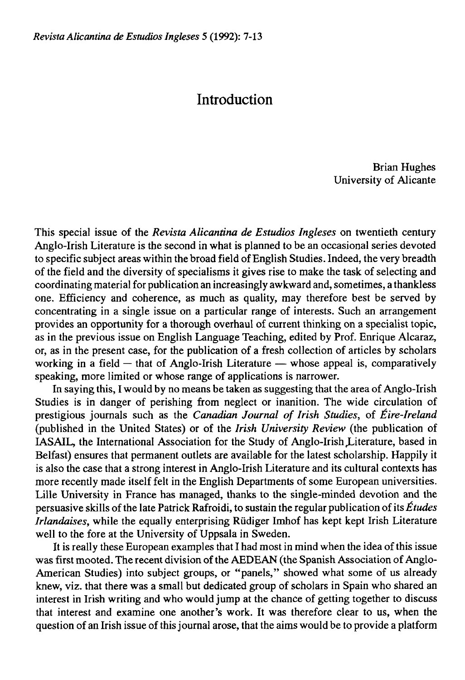Brian Hughes University of Alicante

This special issue of the *Revista Alicantina de Estudios Ingleses* on twentieth century Anglo-Irish Literature is the second in what is planned to be an occasional series devoted to specific subject áreas within the broad field of English Studies. Indeed, the very breadth of the field and the diversity of specialisms it gives rise to make the task of selecting and coordinating material for publication an increasingly awkward and, sometimes, a thankless one. Efficiency and coherence, as much as quality, may therefore best be served by concentrating in a single issue on a particular range of interests. Such an arrangement provides an opportunity for a thorough overhaul of current thinking on a specialist topic, as in the previous issue on English Language Teaching, edited by Prof. Enrique Alcaraz, or, as in the present case, for the publication of a fresh collection of articles by scholars working in a field  $-$  that of Anglo-Irish Literature  $-$  whose appeal is, comparatively speaking, more limited or whose range of applications is narrower.

In saying this, I would by no means be taken as suggesting that the area of Anglo-Irish Studies is in danger of perishing from neglect or inanition. The wide circulation of prestigious journals such as the *Canadian Journal of Irish Studies,* of *Éire-Ireland*  (published in the United States) or of the *Irish University Review* (the publication of IASAIL, the International Association for the Study of Anglo-Irish,Literature, based in Belfast) ensures that permanent outlets are available for the latest scholarship. Happily it is also the case that a strong interest in Anglo-Irish Literature and its cultural contexts has more recently made itself felt in the English Departments of some European universities. Lille University in France has managed, thanks to the single-minded devotion and the persuasive skills of the late Patrick Rafroidi, to sustain the regular publication of its *Études Irlandaises,* while the equally enterprising Rüdiger Imhof has kept kept Irish Literature well to the fore at the University of Uppsala in Sweden.

It is really these European examples that I had most in mind when the idea of this issue was first mooted. The recent division of the AEDEAN (the Spanish Association of Anglo-American Studies) into subject groups, or "panels," showed what some of us already knew, viz. that there was a small but dedicated group of scholars in Spain who shared an interest in Irish writing and who would jump at the chance of getting together to discuss that interest and examine one another's work. It was therefore clear to us, when the question of an Irish issue of this journal arose, that the aims would be to provide a platform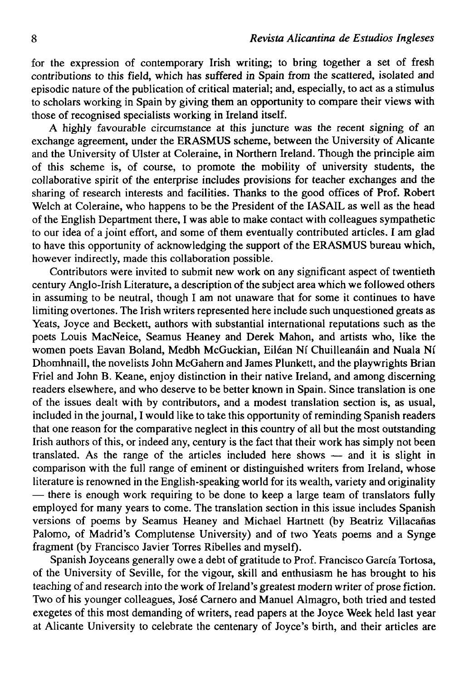for the expression of contemporary Irish writing; to bring together a set of fresh contributions to this field, which has suffered in Spain from the scattered, isolated and episodio nature of the publication of critical material; and, especially, to act as a stimulus to scholars working in Spain by giving them an opportunity to compare their views with those of recognised specialists working in Ireland itself.

A highly favourable circumstance at this juncture was the recent signing of an exchange agreement, under the ERASMUS scheme, between the University of Alicante and the University of Ulster at Coleraine, in Northern Ireland. Though the principie aim of this scheme is, of course, to promote the mobility of university students, the collaborative spirit of the enterprise includes provisions for teacher exchanges and the sharing of research interests and facilities. Thanks to the good offices of Prof. Robert Welch at Coleraine, who happens to be the President of the IASAIL as well as the head of the English Department there, I was able to make contact with colleagues sympathetic to our idea of a joint effort, and some of them eventually contributed articles. I am glad to have this opportunity of acknowledging the support of the ERASMUS bureau which, however indirectly, made this collaboration possible.

Contributors were invited to submit new work on any significant aspect of twentieth century Anglo-Irish Literature, a description of the subject área which we followed others in assuming to be neutral, though I am not unaware that for some it continues to have limiting overtones. The Irish writers represented here include such unquestioned greats as Yeats, Joyce and Beckett, authors with substantial international reputations such as the poets Louis MacNeice, Seamus Heaney and Derek Mahon, and artists who, like the women poets Eavan Boland, Medbh McGuckian, Eiléan Ni Chuilleanáin and Nuala Ni Dhomhnaill, the novelists John McGahern and James Plunkett, and the playwrights Brian Friel and John B. Keane, enjoy distinction in their native Ireland, and among discerning readers elsewhere, and who deserve to be better known in Spain. Since translation is one of the issues dealt with by contributors, and a modest translation section is, as usual, included in the journal, I would like to take this opportunity of reminding Spanish readers that one reason for the comparative neglect in this country of all but the most outstanding Irish authors of this, or indeed any, century is the fact that their work has simply not been translated. As the range of the articles included here shows — and it is slight in comparison with the full range of eminent or distinguished writers from Ireland, whose literature is renowned in the English-speaking world for its wealth, variety and originality — there is enough work requiring to be done to keep a large team of translators fully employed for many years to come. The translation section in this issue includes Spanish versions of poems by Seamus Heaney and Michael Hartnett (by Beatriz Villacañas Palomo, of Madrid's Complutense University) and of two Yeats poems and a Synge fragment (by Francisco Javier Torres Ribelles and myself).

Spanish Joyceans generally owe a debt of gratitude to Prof. Francisco García Tortosa, of the University of Seville, for the vigour, skill and enthusiasm he has brought to his teaching of and research into the work of Ireland's greatest modern writer of prose fiction. Two of his younger colleagues, José Carnero and Manuel Almagro, both tried and tested exegetes of this most demanding of writers, read papers at the Joyce Week held last year at Alicante University to celebrate the centenary of Joyce's birth, and their articles are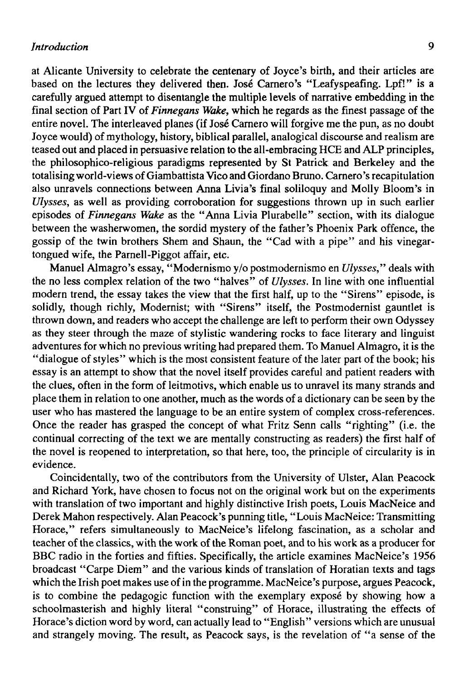at Alicante University to celébrate the centenary of Joyce's birth, and their articles are based on the lectures they delivered **then.** José Camero's "Leafyspeafing. Lpf!" is a carefully argued attempt to disentangle the multiple levels of narrative embedding in the final section of Part IV of *Finnegans Wake,* which he regards as the finest passage of the entire novel. The interleaved planes (if José Carnero will forgive me the pun, as no doubt Joyce would) of mythology, history, biblical parallel, analogical discourse and realism are teased out and placed in persuasive relation to the all-embracing HCE and ALP principies, the philosophico-religious paradigms represented by St Patrick and Berkeley and the totalising world-views of Giambattista Vico and Giordano Bruno. Carnero's recapitulation also unravels connections between Anna Livia's final soliloquy and Molly Bloom's in *Ulysses,* as well as providing corroboration for suggestions thrown up in such earlier episodes of *Finnegans Wake* as the "Anna Livia Plurabelle" section, with its dialogue between the washerwomen, the sordid mystery of the father's Phoenix Park offence, the gossip of the twin brothers Shem and Shaun, the "Cad with a pipe" and his vinegartongued wife, the Parnell-Piggot affair, etc.

Manuel Almagro's essay, "Modernismo y/o postmodernismo en *Ulysses,"* deals with the no less complex relation of the two "halves" of *Ulysses*. In line with one influential modern trend, the essay takes the view that the first half, up to the "Sirens" episode, is solidly, though richly, Modernist; with "Sirens" itself, the Postmodernist gauntlet is thrown down, and readers who accept the challenge are left to perform their own Odyssey as they steer through the maze of stylistic wandering rocks to face literary and linguist adventures for which no previous writing had prepared them. To Manuel Almagro, it is the "dialogue of styles" which is the most consistent feature of the later part of the book; his essay is an attempt to show that the novel itself provides careful and patient readers with the clues, often in the form of leitmotivs, which enable us to unravel its many strands and place them in relation to one another, much as the words of a dictionary can be seen by the user who has mastered the language to be an entire system of complex cross-references. Once the reader has grasped the concept of what Fritz Senn calis "righting" (i.e. the continual correcting of the text we are mentally constructing as readers) the first half of the novel is reopened to interpretation, so that here, too, the principie of circularity is in evidence.

Coincidentally, two of the contributors from the University of Ulster, Alan Peacock and Richard York, have chosen to focus not on the original work but on the experiments with translation of two important and highly distinctive Irish poets, Louis MacNeice and Derek Mahon respectively. Alan Peacock's punning title, "Louis MacNeice: Transmitting Horace," refers simultaneously to MacNeice's lifelong fascination, as a scholar and teacher of the classics, with the work of the Roman poet, and to his work as a producer for BBC radio in the forties and fifties. Specifically, the article examines MacNeice's 1956 broadcast "Carpe Diem" and the various kinds of translation of Horatian texts and tags which the Irish poet makes use of in the programme. MacNeice's purpose, argues Peacock, is to combine the pedagogic function with the exemplary exposé by showing how a schoolmasterish and highly literal "construing" of Horace, illustrating the effeets of Horace's diction word by word, can actually lead to "English" versions which are unusual and strangely moving. The result, as Peacock says, is the revelation of "a sense of the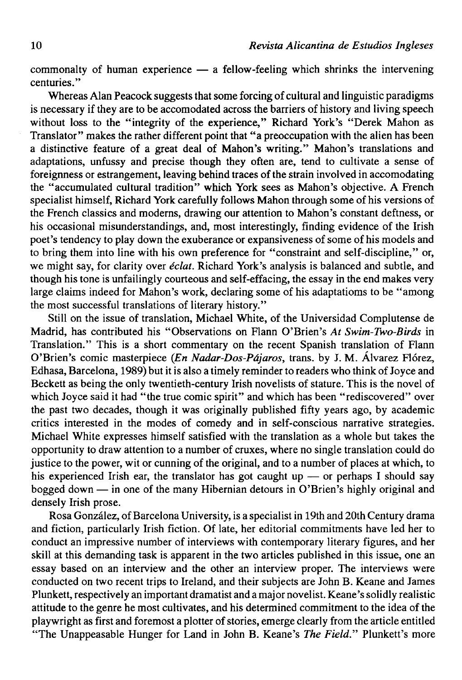commonalty of human experience — a fellow-feeling which shrinks the intervening centuries."

Whereas Alan Peacock suggests that some forcing of cultural and linguistic paradigms is necessary if they are to be accomodated across the barriers of history and living speech without loss to the "integrity of the experience," Richard York's "Derek Mahon as Translator" makes the rather different point that "a preoccupation with the alien has been a distinctive feature of a great deal of Mahon's writing." Mahon's translations and adaptations, unfussy and precise though they often are, tend to cultívate a sense of foreignness or estrangement, leaving behind traces of the strain involved in accomodating the "accumulated cultural tradition" which York sees as Mahon's objective. A French specialist himself, Richard York carefully follows Mahon through some of his versions of the French classics and moderns, drawing our attention to Mahon's constant deftness, or his occasional misunderstandings, and, most interestingly, finding evidence of the Irish poet's tendency to play down the exuberance or expansiveness of some of his models and to bring them into line with his own preference for "constraint and self-discipline," or, we might say, for clarity over *éclat.* Richard York's analysis is balanced and subtle, and though his tone is unfailingly courteous and self-effacing, the essay in the end makes very large claims indeed for Mahon's work, declaring some of his adaptatioms to be "among the most successful translations of literary history."

Still on the issue of translation, Michael White, of the Universidad Complutense de Madrid, has contributed his "Observations on Flann O'Brien's *At Swim-Two-Birds* in Translation." This is a short commentary on the recent Spanish translation of Flann O'Brien's comic masterpiece *(En Nadar-Dos-Pájaros,* trans. by J. M. Alvarez Flórez, Edhasa, Barcelona, 1989) but it is also a timely reminder to readers who think of Joyce and Beckett as being the only twentieth-century Irish novelists of stature. This is the novel of which Joyce said it had "the true comic spirit" and which has been "rediscovered" over the past two decades, though it was originally published fifty years ago, by academic critics interested in the modes of comedy and in self-conscious narrative strategies. Michael White expresses himself satisfied with the translation as a whole but takes the opportunity to draw attention to a number of cruxes, where no single translation could do justice to the power, wit or cunning of the original, and to a number of places at which, to his experienced Irish ear, the translator has got caught up — or perhaps I should say bogged down — in one of the many Hibernian detours in O'Brien's highly original and densely Irish prose.

Rosa González, of Barcelona University, is a specialist in 19th and 20th Century drama and fiction, particularly Irish fiction. Of late, her editorial commitments have led her to conduct an impressive number of interviews with contemporary literary figures, and her skill at this demanding task is apparent in the two articles published in this issue, one an essay based on an interview and the other an interview proper. The interviews were conducted on two recent trips to Ireland, and their subjects are John B. Keane and James Plunkett, respectively an important dramatist and a major novelist. Keane's solidly realistic attitude to the genre he most cultivates, and his determined commitment to the idea of the playwright as first and foremost a plotter of stories, emerge clearly from the article entitled "The Unappeasable Hunger for Land in John B. Keane's *The Field."* Plunkett's more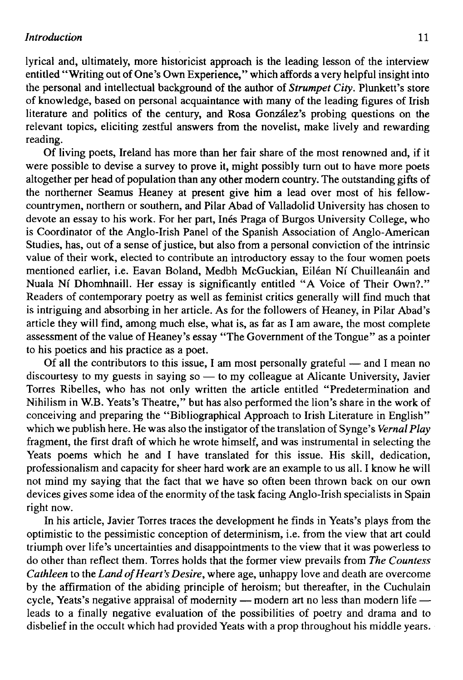lyrical and, ultimately, more historicist approach is the leading lesson of the interview entitled "Writing out of One's Own Experience," which affords a very helpful insight into the personal and intellectual background of the author of *Strumpet City.* Plunkett's store of knowledge, based on personal acquaintance with many of the leading figures of Irish literature and politics of the century, and Rosa González's probing questions on the relevant topics, eliciting zestful answers from the novelist, make lively and rewarding reading.

Of living poets, Ireland has more than her fair share of the most renowned and, if it were possible to devise a survey to prove it, might possibly turn out to have more poets altogether per head of population than any other modern country. The outstanding gifts of the northerner Seamus Heaney at present give him a lead over most of his fellowcountrymen, northern or southern, and Pilar Abad of Valladolid University has chosen to devote an essay to his work. For her part, Inés Praga of Burgos University College, who is Coordinator of the Anglo-Irish Panel of the Spanish Association of Anglo-American Studies, has, out of a sense of justice, but also from a personal conviction of the intrinsic value of their work, elected to contribute an introductory essay to the four women poets mentioned earlier, i.e. Eavan Boland, Medbh McGuckian, Eiléan Ni Chuilleanáin and Nuala Ni Dhomhnaill. Her essay is significantly entitled "A Voice of Their Own?." Readers of contemporary poetry as well as feminist critics generally will find much that is intriguing and absorbing in her article. As for the followers of Heaney, in Pilar Abad's article they will find, among much else, what is, as far as I am aware, the most complete assessment of the valué of Heaney's essay "The Government of the Tongue" as a pointer to his poetics and his practice as a poet.

Of all the contributors to this issue, I am most personally grateful — and I mean no discourtesy to my guests in saying so — to my colleague at Alicante University, Javier Torres Ribelles, who has not only written the article entitled "Predetermination and Nihilism in W.B. Yeats's Theatre," but has also performed the lion's share in the work of conceiving and preparing the "Bibliographical Approach to Irish Literature in English" which we publish here. He was also the instigator of the translation of Synge's *Vernal Play*  fragment, the first draft of which he wrote himself, and was instrumental in selecting the Yeats poems which he and I have translated for this issue. His skill, dedication, professionalism and capacity for sheer hard work are an example to us all. I know he will not mind my saying that the fact that we have so often been thrown back on our own devices gives some idea of the enormity of the task facing Anglo-Irish specialists in Spain right now.

In his article, Javier Torres traces the development he finds in Yeats's plays from the optimistic to the pessimistic conception of determinism, i.e. from the view that art could triumph over life's uncertainties and disappointments to the view that it was powerless to do other than reflect them. Torres holds that the former view prevails from *The Countess Cathleen* to the *Land of Heart's Desire*, where age, unhappy love and death are overcome by the affirmation of the abiding principie of heroism; but thereafter, in the Cuchulain eyele, Yeats's negative appraisal of modernity — modern art no less than modern life leads to a finally negative evaluation of the possibilities of poetry and drama and to disbelief in the oceult which had provided Yeats with a prop throughout his middle years.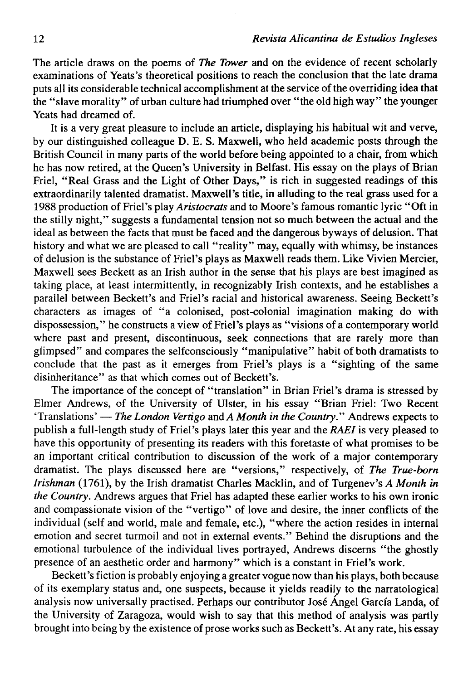The article draws on the poems of *The Tower* and on the evidence of recent scholarly examinations of Yeats's theoretical positions to reach the conclusion that the late drama puts all its considerable technical accomplishment at the service of the overriding idea that the "slave morality" of urban culture had triumphed over "the old high way" the younger Yeats had dreamed of.

It is a very great pleasure to include an article, displaying his habitual wit and verve, by our distinguished colleague D. E. S. Maxwell, who held academic posts through the British Council in many parts of the world before being appointed to a chair, from which he has now retired, at the Queen's University in Belfast. His essay on the plays of Brian Friel, "Real Grass and the Light of Other Days," is rich in suggested readings of this extraordinarily talented dramatist. Maxwell 's title, in alluding to the real grass used for a 1988 production of Friel's play *Aristocrats* and to Moore's famous romantic lyric "Oft in the stilly night," suggests a fundamental tensión not so much between the actual and the ideal as between the facts that must be faced and the dangerous byways of delusion. That history and what we are pleased to call "reality" may, equally with whimsy, be instances of delusion is the substance of Friel's plays as Maxwell reads them. Like Vivien Mercier, Maxwell sees Beckett as an Irish author in the sense that his plays are best imagined as taking place, at least intermittently, in recognizably Irish contexts, and he establishes a parallel between Beckett's and Friel's racial and historical awareness. Seeing Beckett's characters as images of "a colonised, post-colonial imagination making do with dispossession," he constructs a view of Friel's plays as "visions of a contemporary world where past and present, discontinuous, seek connections that are rarely more than glimpsed" and compares the selfconsciously "manipulative" habit of both dramatists to conclude that the past as it emerges from Friel's plays is a "sighting of the same disinheritance" as that which comes out of Beckett's.

The importance of the concept of "translation" in Brian Friel's drama is stressed by Elmer Andrews, of the University of Ulster, in his essay "Brian Friel: Two Recent 'Translations' — The London Vertigo and A Month in the Country." Andrews expects to publish a full-length study of Friel's plays later this year and the *RAEI* is very pleased to have this opportunity of presenting its readers with this foretaste of what promises to be an important critical contribution to discussion of the work of a major contemporary dramatist. The plays discussed here are "versions," respectively, of *The True-born Irishman* (1761), by the Irish dramatist Charles Macklin, and of Turgenev's *A Month in the Country.* Andrews argües that Friel has adapted these earlier works to his own ironic and compassionate vision of the "vertigo" of love and desire, the inner conflicts of the individual (self and world, male and female, etc.), "where the action resides in internal emotion and secret turmoil and not in external events." Behind the disruptions and the emotional turbulence of the individual lives portrayed, Andrews discerns "the ghostly presence of an aesthetic order and harmony" which is a constant in Friel's work.

Beckett's fiction is probably enjoying a greater vogue now than his plays, both because of its exemplary status and, one suspects, because it yields readily to the narratological analysis now universally practised. Perhaps our contributor José Ángel García Landa, of the University of Zaragoza, would wish to say that this method of analysis was partly brought into being by the existence of prose works such as Beckett's. At any rate, his essay